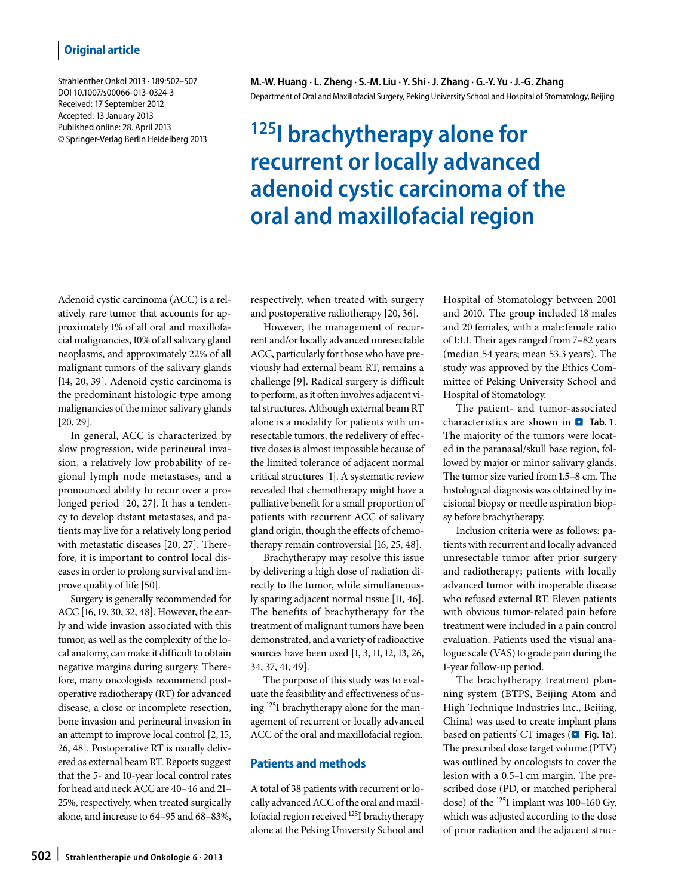Strahlenther Onkol 2013 · 189:502–507 DOI 10.1007/s00066-013-0324-3 Received: 17 September 2012 Accepted: 13 January 2013 Published online: 28. April 2013 © Springer-Verlag Berlin Heidelberg 2013 **M.-W. Huang · L. Zheng · S.-M. Liu · Y. Shi ·J. Zhang · G.-Y. Yu ·J.-G. Zhang** Department of Oral and Maxillofacial Surgery, Peking University School and Hospital of Stomatology, Beijing

# **125I brachytherapy alone for recurrent or locally advanced adenoid cystic carcinoma of the oral and maxillofacial region**

Adenoid cystic carcinoma (ACC) is a relatively rare tumor that accounts for approximately 1% of all oral and maxillofacial malignancies, 10% of all salivary gland neoplasms, and approximately 22% of all malignant tumors of the salivary glands [14, 20, 39]. Adenoid cystic carcinoma is the predominant histologic type among malignancies of the minor salivary glands [20, 29].

In general, ACC is characterized by slow progression, wide perineural invasion, a relatively low probability of regional lymph node metastases, and a pronounced ability to recur over a prolonged period [20, 27]. It has a tendency to develop distant metastases, and patients may live for a relatively long period with metastatic diseases [20, 27]. Therefore, it is important to control local diseases in order to prolong survival and improve quality of life [50].

Surgery is generally recommended for ACC [16, 19, 30, 32, 48]. However, the early and wide invasion associated with this tumor, as well as the complexity of the local anatomy, can make it difficult to obtain negative margins during surgery. Therefore, many oncologists recommend postoperative radiotherapy (RT) for advanced disease, a close or incomplete resection, bone invasion and perineural invasion in an attempt to improve local control [2, 15, 26, 48]. Postoperative RT is usually delivered as external beam RT. Reports suggest that the 5- and 10-year local control rates for head and neck ACC are 40–46 and 21– 25%, respectively, when treated surgically alone, and increase to 64–95 and 68–83%, respectively, when treated with surgery and postoperative radiotherapy [20, 36].

However, the management of recurrent and/or locally advanced unresectable ACC, particularly for those who have previously had external beam RT, remains a challenge [9]. Radical surgery is difficult to perform, as it often involves adjacent vital structures. Although external beam RT alone is a modality for patients with unresectable tumors, the redelivery of effective doses is almost impossible because of the limited tolerance of adjacent normal critical structures [1]. A systematic review revealed that chemotherapy might have a palliative benefit for a small proportion of patients with recurrent ACC of salivary gland origin, though the effects of chemotherapy remain controversial [16, 25, 48].

Brachytherapy may resolve this issue by delivering a high dose of radiation directly to the tumor, while simultaneously sparing adjacent normal tissue [11, 46]. The benefits of brachytherapy for the treatment of malignant tumors have been demonstrated, and a variety of radioactive sources have been used [1, 3, 11, 12, 13, 26, 34, 37, 41, 49].

The purpose of this study was to evaluate the feasibility and effectiveness of using 125I brachytherapy alone for the management of recurrent or locally advanced ACC of the oral and maxillofacial region.

# **Patients and methods**

A total of 38 patients with recurrent or locally advanced ACC of the oral and maxillofacial region received 125I brachytherapy alone at the Peking University School and Hospital of Stomatology between 2001 and 2010. The group included 18 males and 20 females, with a male:female ratio of 1:1.1. Their ages ranged from 7–82 years (median 54 years; mean 53.3 years). The study was approved by the Ethics Committee of Peking University School and Hospital of Stomatology.

The patient- and tumor-associated characteristics are shown in **Q** Tab. 1. The majority of the tumors were located in the paranasal/skull base region, followed by major or minor salivary glands. The tumor size varied from 1.5–8 cm. The histological diagnosis was obtained by incisional biopsy or needle aspiration biopsy before brachytherapy.

Inclusion criteria were as follows: patients with recurrent and locally advanced unresectable tumor after prior surgery and radiotherapy; patients with locally advanced tumor with inoperable disease who refused external RT. Eleven patients with obvious tumor-related pain before treatment were included in a pain control evaluation. Patients used the visual analogue scale (VAS) to grade pain during the 1-year follow-up period.

The brachytherapy treatment planning system (BTPS, Beijing Atom and High Technique Industries Inc., Beijing, China) was used to create implant plans based on patients' CT images (**D** Fig. 1a). The prescribed dose target volume (PTV) was outlined by oncologists to cover the lesion with a 0.5–1 cm margin. The prescribed dose (PD, or matched peripheral dose) of the 125I implant was 100–160 Gy, which was adjusted according to the dose of prior radiation and the adjacent struc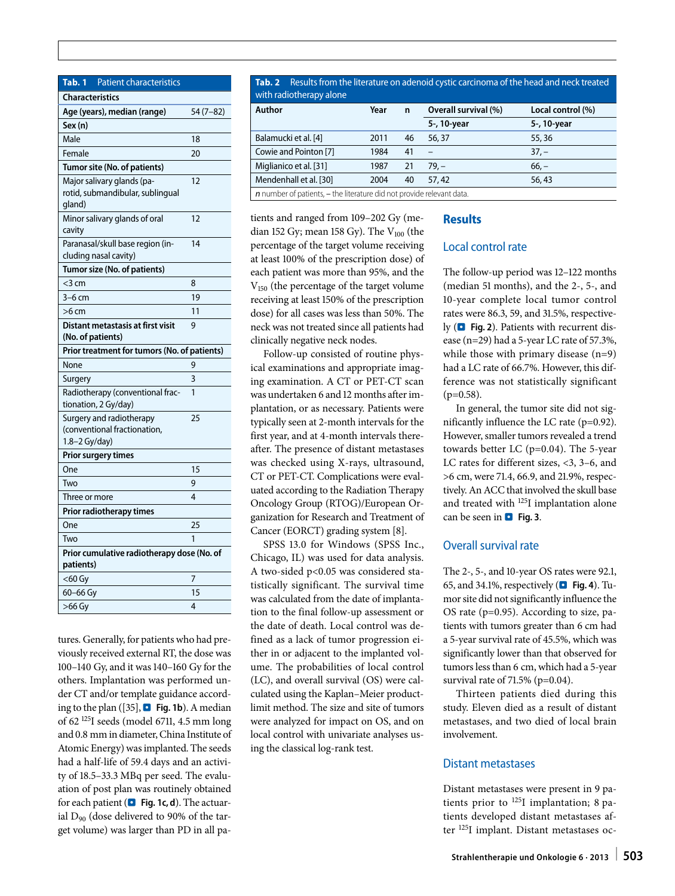**Tab. 1** Patient characteristics

| <b>Characteristics</b>                                                    |           |  |  |  |
|---------------------------------------------------------------------------|-----------|--|--|--|
| Age (years), median (range)                                               | 54 (7–82) |  |  |  |
| Sex (n)                                                                   |           |  |  |  |
| Male                                                                      | 18        |  |  |  |
| Female                                                                    | 20        |  |  |  |
| Tumor site (No. of patients)                                              |           |  |  |  |
| Major salivary glands (pa-<br>rotid, submandibular, sublingual<br>gland)  | 12        |  |  |  |
| Minor salivary glands of oral<br>cavity                                   | 12        |  |  |  |
| Paranasal/skull base region (in-<br>cluding nasal cavity)                 | 14        |  |  |  |
| Tumor size (No. of patients)                                              |           |  |  |  |
| $<$ 3 cm                                                                  | 8         |  |  |  |
| $3-6$ cm                                                                  | 19        |  |  |  |
| $>6$ cm                                                                   | 11        |  |  |  |
| Distant metastasis at first visit<br>(No. of patients)                    | 9         |  |  |  |
| Prior treatment for tumors (No. of patients)                              |           |  |  |  |
| None                                                                      | 9         |  |  |  |
| Surgery                                                                   | 3         |  |  |  |
| Radiotherapy (conventional frac-<br>tionation, 2 Gy/day)                  | 1         |  |  |  |
| Surgery and radiotherapy<br>(conventional fractionation,<br>1.8-2 Gy/day) | 25        |  |  |  |
| Prior surgery times                                                       |           |  |  |  |
| One                                                                       | 15        |  |  |  |
| Two                                                                       | 9         |  |  |  |
| Three or more                                                             | 4         |  |  |  |
| Prior radiotherapy times                                                  |           |  |  |  |
| One                                                                       | 25        |  |  |  |
| Two                                                                       | 1         |  |  |  |
| Prior cumulative radiotherapy dose (No. of<br>patients)                   |           |  |  |  |
| $<$ 60 Gy                                                                 | 7         |  |  |  |
| 60-66 Gy                                                                  | 15        |  |  |  |
| $>66$ Gy                                                                  | 4         |  |  |  |

tures. Generally, for patients who had previously received external RT, the dose was 100–140 Gy, and it was 140–160 Gy for the others. Implantation was performed under CT and/or template guidance according to the plan ([35],  $\Box$  Fig. 1b). A median of 62 125I seeds (model 6711, 4.5 mm long and 0.8 mm in diameter, China Institute of Atomic Energy) was implanted. The seeds had a half-life of 59.4 days and an activity of 18.5–33.3 MBq per seed. The evaluation of post plan was routinely obtained for each patient (**D** Fig. 1c, d). The actuarial  $D_{90}$  (dose delivered to 90% of the target volume) was larger than PD in all pa**Tab. 2** Results from the literature on adenoid cystic carcinoma of the head and neck treated with radiotherapy alone

| Author                                                                    | Year | $\mathsf{n}$ | Overall survival (%) | Local control (%) |
|---------------------------------------------------------------------------|------|--------------|----------------------|-------------------|
|                                                                           |      |              | 5-, 10-year          | 5-, 10-year       |
| Balamucki et al. [4]                                                      | 2011 | 46           | 56, 37               | 55,36             |
| Cowie and Pointon [7]                                                     | 1984 | 41           |                      | $37, -$           |
| Miglianico et al. [31]                                                    | 1987 | 21           | $79. -$              | $66, -$           |
| Mendenhall et al. [30]                                                    | 2004 | 40           | 57,42                | 56,43             |
| $n$ number of patients, $-$ the literature did not provide relevant data. |      |              |                      |                   |

tients and ranged from 109–202 Gy (median 152 Gy; mean 158 Gy). The  $V_{100}$  (the percentage of the target volume receiving at least 100% of the prescription dose) of each patient was more than 95%, and the V150 (the percentage of the target volume receiving at least 150% of the prescription dose) for all cases was less than 50%. The neck was not treated since all patients had clinically negative neck nodes.

Follow-up consisted of routine physical examinations and appropriate imaging examination. A CT or PET-CT scan was undertaken 6 and 12 months after implantation, or as necessary. Patients were typically seen at 2-month intervals for the first year, and at 4-month intervals thereafter. The presence of distant metastases was checked using X-rays, ultrasound, CT or PET-CT. Complications were evaluated according to the Radiation Therapy Oncology Group (RTOG)/European Organization for Research and Treatment of Cancer (EORCT) grading system [8].

SPSS 13.0 for Windows (SPSS Inc., Chicago, IL) was used for data analysis. A two-sided p<0.05 was considered statistically significant. The survival time was calculated from the date of implantation to the final follow-up assessment or the date of death. Local control was defined as a lack of tumor progression either in or adjacent to the implanted volume. The probabilities of local control (LC), and overall survival (OS) were calculated using the Kaplan–Meier productlimit method. The size and site of tumors were analyzed for impact on OS, and on local control with univariate analyses using the classical log-rank test.

# **Results**

# Local control rate

The follow-up period was 12–122 months (median 51 months), and the 2-, 5-, and 10-year complete local tumor control rates were 86.3, 59, and 31.5%, respectively ( $\blacksquare$  Fig. 2). Patients with recurrent disease (n=29) had a 5-year LC rate of 57.3%, while those with primary disease (n=9) had a LC rate of 66.7%. However, this difference was not statistically significant  $(p=0.58)$ .

In general, the tumor site did not significantly influence the LC rate (p=0.92). However, smaller tumors revealed a trend towards better LC (p=0.04). The 5-year LC rates for different sizes, <3, 3–6, and >6 cm, were 71.4, 66.9, and 21.9%, respectively. An ACC that involved the skull base and treated with 125I implantation alone can be seen in **D** Fig. 3.

# Overall survival rate

The 2-, 5-, and 10-year OS rates were 92.1, 65, and 34.1%, respectively (. **Fig. 4**). Tumor site did not significantly influence the OS rate (p=0.95). According to size, patients with tumors greater than 6 cm had a 5-year survival rate of 45.5%, which was significantly lower than that observed for tumors less than 6 cm, which had a 5-year survival rate of 71.5% (p=0.04).

Thirteen patients died during this study. Eleven died as a result of distant metastases, and two died of local brain involvement.

## Distant metastases

Distant metastases were present in 9 patients prior to 125I implantation; 8 patients developed distant metastases after 125I implant. Distant metastases oc-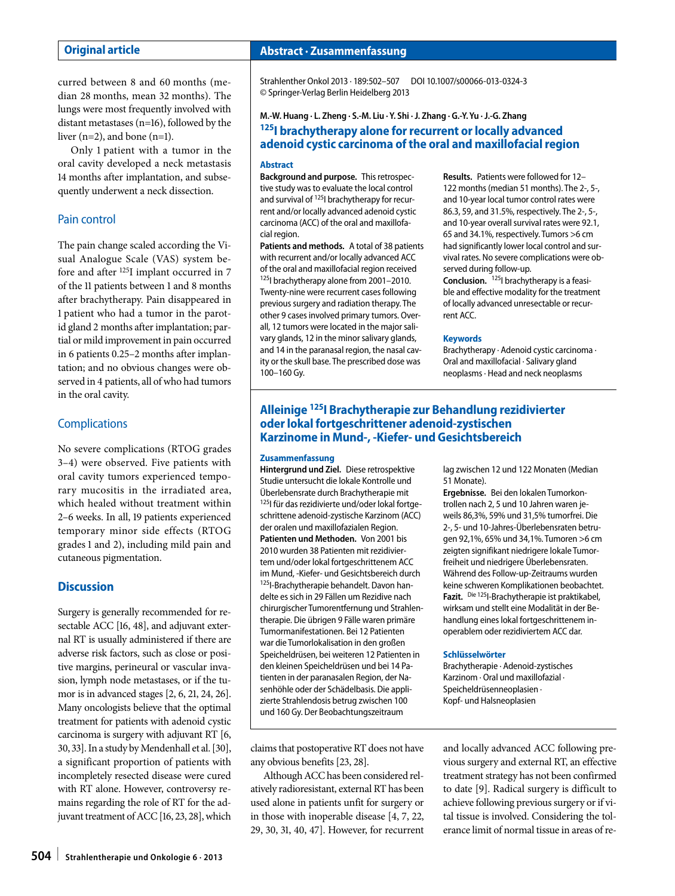## **Original article**

curred between 8 and 60 months (median 28 months, mean 32 months). The lungs were most frequently involved with distant metastases (n=16), followed by the liver (n=2), and bone (n=1).

Only 1 patient with a tumor in the oral cavity developed a neck metastasis 14 months after implantation, and subsequently underwent a neck dissection.

# Pain control

The pain change scaled according the Visual Analogue Scale (VAS) system before and after 125I implant occurred in 7 of the 11 patients between 1 and 8 months after brachytherapy. Pain disappeared in 1 patient who had a tumor in the parotid gland 2 months after implantation; partial or mild improvement in pain occurred in 6 patients 0.25–2 months after implantation; and no obvious changes were observed in 4 patients, all of who had tumors in the oral cavity.

## **Complications**

No severe complications (RTOG grades 3–4) were observed. Five patients with oral cavity tumors experienced temporary mucositis in the irradiated area, which healed without treatment within 2–6 weeks. In all, 19 patients experienced temporary minor side effects (RTOG grades 1 and 2), including mild pain and cutaneous pigmentation.

# **Discussion**

Surgery is generally recommended for resectable ACC [16, 48], and adjuvant external RT is usually administered if there are adverse risk factors, such as close or positive margins, perineural or vascular invasion, lymph node metastases, or if the tumor is in advanced stages [2, 6, 21, 24, 26]. Many oncologists believe that the optimal treatment for patients with adenoid cystic carcinoma is surgery with adjuvant RT [6, 30, 33]. In a study by Mendenhall et al. [30], a significant proportion of patients with incompletely resected disease were cured with RT alone. However, controversy remains regarding the role of RT for the adjuvant treatment of ACC [16, 23, 28], which

# **Abstract · Zusammenfassung**

Strahlenther Onkol 2013 · 189:502–507 DOI 10.1007/s00066-013-0324-3 © Springer-Verlag Berlin Heidelberg 2013

# **M.-W. Huang · L. Zheng · S.-M. Liu · Y. Shi ·J. Zhang · G.-Y. Yu ·J.-G. Zhang 125I brachytherapy alone for recurrent or locally advanced adenoid cystic carcinoma of the oral and maxillofacial region**

### **Abstract**

**Background and purpose.** This retrospective study was to evaluate the local control and survival of <sup>125</sup>l brachytherapy for recurrent and/or locally advanced adenoid cystic carcinoma (ACC) of the oral and maxillofacial region.

**Patients and methods.** A total of 38 patients with recurrent and/or locally advanced ACC of the oral and maxillofacial region received 125I brachytherapy alone from 2001–2010. Twenty-nine were recurrent cases following previous surgery and radiation therapy. The other 9 cases involved primary tumors. Overall, 12 tumors were located in the major salivary glands, 12 in the minor salivary glands, and 14 in the paranasal region, the nasal cavity or the skull base. The prescribed dose was 100–160 Gy.

**Results.** Patients were followed for 12– 122 months (median 51 months). The 2-, 5-, and 10-year local tumor control rates were 86.3, 59, and 31.5%, respectively. The 2-, 5-, and 10-year overall survival rates were 92.1, 65 and 34.1%, respectively. Tumors >6 cm had significantly lower local control and survival rates. No severe complications were observed during follow-up. **Conclusion.** 125I brachytherapy is a feasi-

ble and effective modality for the treatment of locally advanced unresectable or recurrent ACC.

## **Keywords**

Brachytherapy · Adenoid cystic carcinoma · Oral and maxillofacial · Salivary gland neoplasms· Head and neck neoplasms

# **Alleinige 125I Brachytherapie zur Behandlung rezidivierter oder lokal fortgeschrittener adenoid-zystischen Karzinome in Mund-, -Kiefer- und Gesichtsbereich**

### **Zusammenfassung**

**Hintergrund und Ziel.** Diese retrospektive Studie untersucht die lokale Kontrolle und Überlebensrate durch Brachytherapie mit 125I für das rezidivierte und/oder lokal fortgeschrittene adenoid-zystische Karzinom (ACC) der oralen und maxillofazialen Region. **Patienten und Methoden.** Von 2001 bis 2010 wurden 38 Patienten mit rezidiviertem und/oder lokal fortgeschrittenem ACC im Mund, -Kiefer- und Gesichtsbereich durch 125I-Brachytherapie behandelt. Davon handelte es sich in 29 Fällen um Rezidive nach chirurgischer Tumorentfernung und Strahlentherapie. Die übrigen 9 Fälle waren primäre Tumormanifestationen. Bei 12 Patienten war die Tumorlokalisation in den großen Speicheldrüsen, bei weiteren 12 Patienten in den kleinen Speicheldrüsen und bei 14 Patienten in der paranasalen Region, der Nasenhöhle oder der Schädelbasis. Die applizierte Strahlendosis betrug zwischen 100 und 160 Gy. Der Beobachtungszeitraum

lag zwischen 12 und 122 Monaten (Median 51 Monate).

**Ergebnisse.** Bei den lokalen Tumorkontrollen nach 2, 5 und 10 Jahren waren jeweils 86,3%, 59% und 31,5% tumorfrei. Die 2-, 5- und 10-Jahres-Überlebensraten betrugen 92,1%, 65% und 34,1%. Tumoren >6 cm zeigten signifikant niedrigere lokale Tumorfreiheit und niedrigere Überlebensraten. Während des Follow-up-Zeitraums wurden keine schweren Komplikationen beobachtet. **Fazit.** Die 125I-Brachytherapie ist praktikabel, wirksam und stellt eine Modalität in der Behandlung eines lokal fortgeschrittenem inoperablem oder rezidiviertem ACC dar.

#### **Schlüsselwörter**

Brachytherapie · Adenoid-zystisches Karzinom · Oral und maxillofazial · Speicheldrüsenneoplasien · Kopf- und Halsneoplasien

claims that postoperative RT does not have any obvious benefits [23, 28].

Although ACC has been considered relatively radioresistant, external RT has been used alone in patients unfit for surgery or in those with inoperable disease [4, 7, 22, 29, 30, 31, 40, 47]. However, for recurrent and locally advanced ACC following previous surgery and external RT, an effective treatment strategy has not been confirmed to date [9]. Radical surgery is difficult to achieve following previous surgery or if vital tissue is involved. Considering the tolerance limit of normal tissue in areas of re-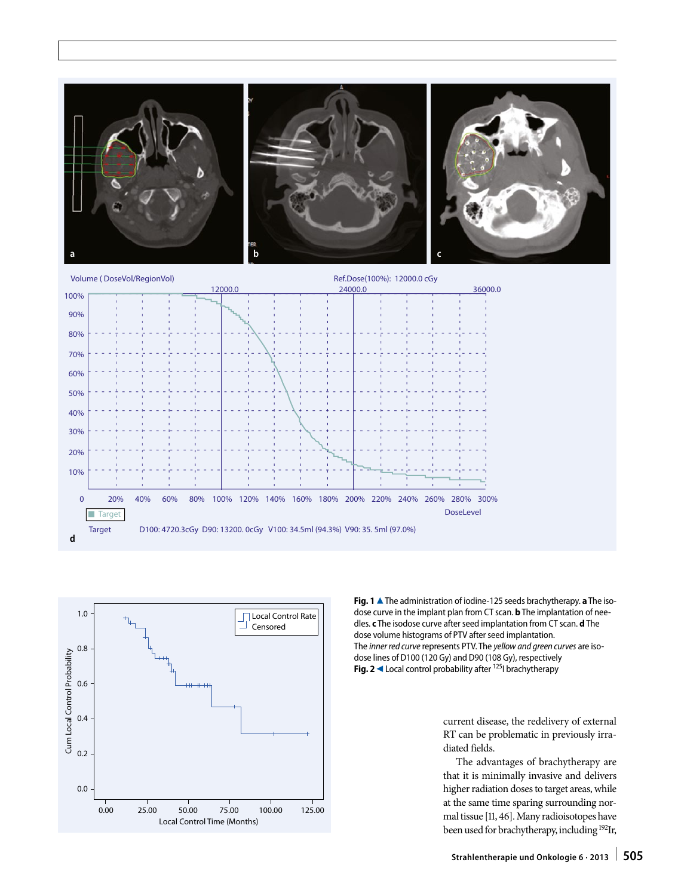

0 40% 60% 80% 100% 120% 140% 160% 180% 200% 220% 240% 260% 280% 300%

Target D100: 4720.3cGy D90: 13200. 0cGy V100: 34.5ml (94.3%) V90: 35. 5ml (97.0%)



20%

**Target** 

40% 30% 20% 10%

**d**

**Fig. 1** ▲ The administration of iodine-125 seeds brachytherapy. **a** The isodose curve in the implant plan from CT scan. **b** The implantation of needles. **c** The isodose curve after seed implantation from CT scan. **d** The dose volume histograms of PTV after seed implantation. The *inner red curve* represents PTV. The *yellow and green curves* are isodose lines of D100 (120 Gy) and D90 (108 Gy), respectively **Fig. 2**  $\triangle$  Local control probability after <sup>125</sup>I brachytherapy

DoseLevel

current disease, the redelivery of external RT can be problematic in previously irradiated fields.

The advantages of brachytherapy are that it is minimally invasive and delivers higher radiation doses to target areas, while at the same time sparing surrounding normal tissue [11, 46]. Many radioisotopes have been used for brachytherapy, including 192Ir,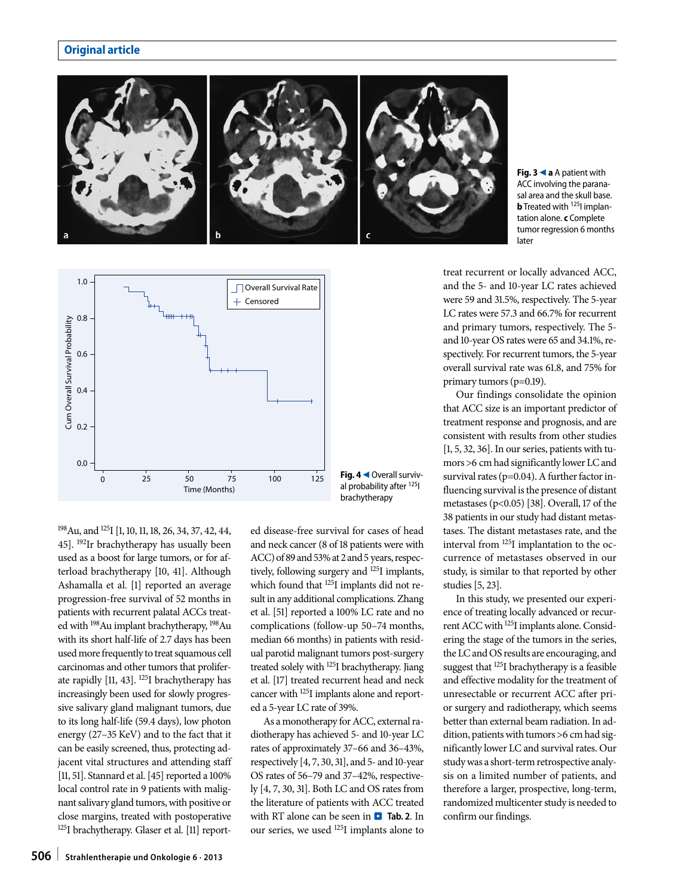# **Original article**



**Fig. 3**9**a** A patient with ACC involving the paranasal area and the skull base. **b** Treated with <sup>125</sup>I implantation alone. **c** Complete tumor regression 6 months later



198Au, and 125I [1, 10, 11, 18, 26, 34, 37, 42, 44, 45]. 192Ir brachytherapy has usually been used as a boost for large tumors, or for afterload brachytherapy [10, 41]. Although Ashamalla et al. [1] reported an average progression-free survival of 52 months in patients with recurrent palatal ACCs treated with 198Au implant brachytherapy, 198Au with its short half-life of 2.7 days has been used more frequently to treat squamous cell carcinomas and other tumors that proliferate rapidly [11, 43]. 125I brachytherapy has increasingly been used for slowly progressive salivary gland malignant tumors, due to its long half-life (59.4 days), low photon energy (27–35 KeV) and to the fact that it can be easily screened, thus, protecting adjacent vital structures and attending staff [11, 51]. Stannard et al. [45] reported a 100% local control rate in 9 patients with malignant salivary gland tumors, with positive or close margins, treated with postoperative 125I brachytherapy. Glaser et al. [11] reported disease-free survival for cases of head and neck cancer (8 of 18 patients were with ACC) of 89 and 53% at 2 and 5 years, respectively, following surgery and 125I implants, which found that  $^{125}$ I implants did not result in any additional complications. Zhang et al. [51] reported a 100% LC rate and no complications (follow-up 50–74 months, median 66 months) in patients with residual parotid malignant tumors post-surgery treated solely with 125I brachytherapy. Jiang et al. [17] treated recurrent head and neck cancer with 125I implants alone and reported a 5-year LC rate of 39%.

As a monotherapy for ACC, external radiotherapy has achieved 5- and 10-year LC rates of approximately 37–66 and 36–43%, respectively [4, 7, 30, 31], and 5- and 10-year OS rates of 56–79 and 37–42%, respectively [4, 7, 30, 31]. Both LC and OS rates from the literature of patients with ACC treated with RT alone can be seen in **D** Tab. 2. In our series, we used 125I implants alone to treat recurrent or locally advanced ACC, and the 5- and 10-year LC rates achieved were 59 and 31.5%, respectively. The 5-year LC rates were 57.3 and 66.7% for recurrent and primary tumors, respectively. The 5 and 10-year OS rates were 65 and 34.1%, respectively. For recurrent tumors, the 5-year overall survival rate was 61.8, and 75% for primary tumors (p=0.19).

Our findings consolidate the opinion that ACC size is an important predictor of treatment response and prognosis, and are consistent with results from other studies [1, 5, 32, 36]. In our series, patients with tumors >6 cm had significantly lower LC and survival rates (p=0.04). A further factor influencing survival is the presence of distant metastases (p<0.05) [38]. Overall, 17 of the 38 patients in our study had distant metastases. The distant metastases rate, and the interval from 125I implantation to the occurrence of metastases observed in our study, is similar to that reported by other studies [5, 23].

In this study, we presented our experience of treating locally advanced or recurrent ACC with 125I implants alone. Considering the stage of the tumors in the series, the LC and OS results are encouraging, and suggest that 125I brachytherapy is a feasible and effective modality for the treatment of unresectable or recurrent ACC after prior surgery and radiotherapy, which seems better than external beam radiation. In addition, patients with tumors >6 cm had significantly lower LC and survival rates. Our study was a short-term retrospective analysis on a limited number of patients, and therefore a larger, prospective, long-term, randomized multicenter study is needed to confirm our findings.